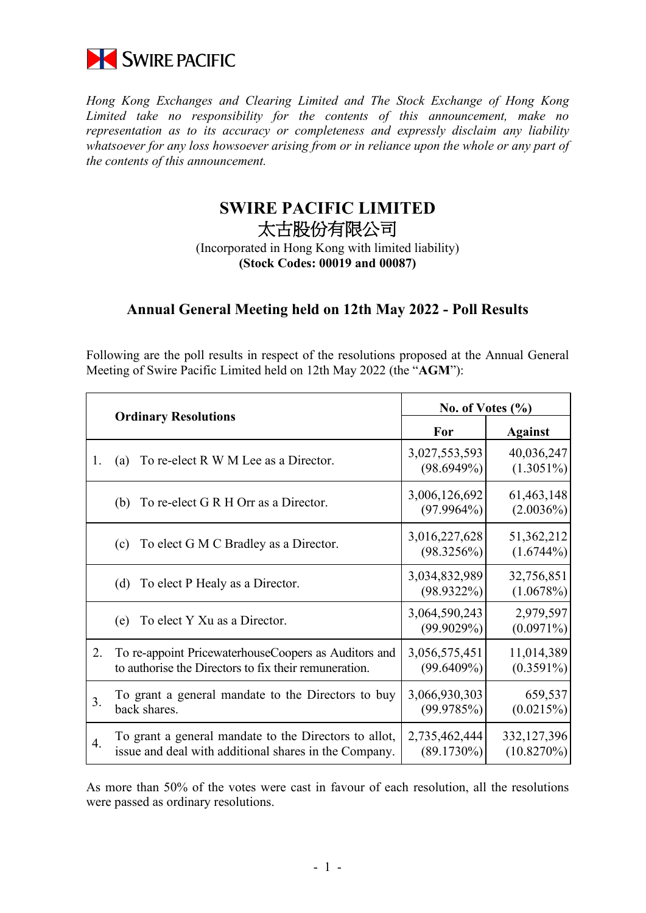

*Hong Kong Exchanges and Clearing Limited and The Stock Exchange of Hong Kong Limited take no responsibility for the contents of this announcement, make no representation as to its accuracy or completeness and expressly disclaim any liability whatsoever for any loss howsoever arising from or in reliance upon the whole or any part of the contents of this announcement.*

## **SWIRE PACIFIC LIMITED** 太古股份有限公司

(Incorporated in Hong Kong with limited liability) **(Stock Codes: 00019 and 00087)**

## **Annual General Meeting held on 12th May 2022 - Poll Results**

Following are the poll results in respect of the resolutions proposed at the Annual General Meeting of Swire Pacific Limited held on 12th May 2022 (the "**AGM**"):

|    | <b>Ordinary Resolutions</b>                           | No. of Votes $(\%$ |                |
|----|-------------------------------------------------------|--------------------|----------------|
|    |                                                       | For                | <b>Against</b> |
| 1. | To re-elect R W M Lee as a Director.                  | 3,027,553,593      | 40,036,247     |
|    | (a)                                                   | (98.6949%)         | $(1.3051\%)$   |
|    | To re-elect G R H Orr as a Director.                  | 3,006,126,692      | 61,463,148     |
|    | (b)                                                   | $(97.9964\%)$      | $(2.0036\%)$   |
|    | To elect G M C Bradley as a Director.                 | 3,016,227,628      | 51,362,212     |
|    | (c)                                                   | (98.3256%)         | $(1.6744\%)$   |
|    | To elect P Healy as a Director.                       | 3,034,832,989      | 32,756,851     |
|    | (d)                                                   | $(98.9322\%)$      | (1.0678%)      |
|    | To elect Y Xu as a Director.                          | 3,064,590,243      | 2,979,597      |
|    | (e)                                                   | (99.9029%)         | $(0.0971\%)$   |
| 2. | To re-appoint PricewaterhouseCoopers as Auditors and  | 3,056,575,451      | 11,014,389     |
|    | to authorise the Directors to fix their remuneration. | $(99.6409\%)$      | $(0.3591\%)$   |
| 3. | To grant a general mandate to the Directors to buy    | 3,066,930,303      | 659,537        |
|    | back shares.                                          | (99.9785%)         | (0.0215%)      |
| 4. | To grant a general mandate to the Directors to allot, | 2,735,462,444      | 332,127,396    |
|    | issue and deal with additional shares in the Company. | $(89.1730\%)$      | (10.8270%)     |

As more than 50% of the votes were cast in favour of each resolution, all the resolutions were passed as ordinary resolutions.